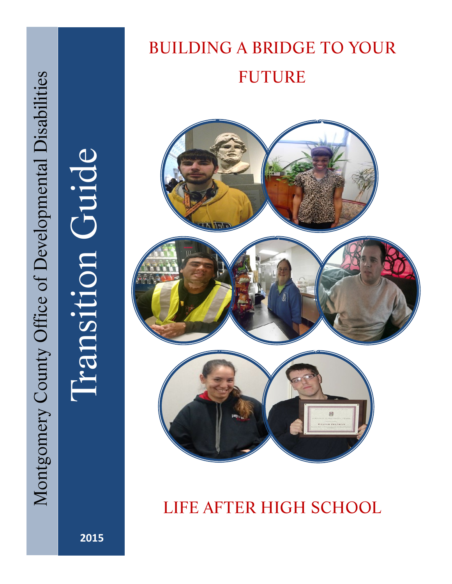# Iransition Guide



BUILDING A BRIDGE TO YOUR

FUTURE

# LIFE AFTER HIGH SCHOOL

 **2015**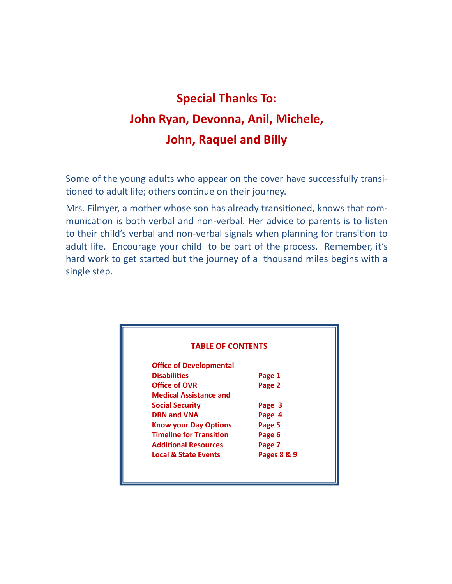# **Special Thanks To: John Ryan, Devonna, Anil, Michele, John, Raquel and Billy**

Some of the young adults who appear on the cover have successfully transitioned to adult life; others continue on their journey.

Mrs. Filmyer, a mother whose son has already transitioned, knows that communication is both verbal and non-verbal. Her advice to parents is to listen to their child's verbal and non-verbal signals when planning for transition to adult life. Encourage your child to be part of the process. Remember, it's hard work to get started but the journey of a thousand miles begins with a single step.

| <b>TABLE OF CONTENTS</b>        |             |  |  |
|---------------------------------|-------------|--|--|
| <b>Office of Developmental</b>  |             |  |  |
| <b>Disabilities</b>             | Page 1      |  |  |
| Office of OVR                   | Page 2      |  |  |
| <b>Medical Assistance and</b>   |             |  |  |
| <b>Social Security</b>          | Page 3      |  |  |
| <b>DRN and VNA</b>              | Page 4      |  |  |
| <b>Know your Day Options</b>    | Page 5      |  |  |
| <b>Timeline for Transition</b>  | Page 6      |  |  |
| <b>Additional Resources</b>     | Page 7      |  |  |
| <b>Local &amp; State Events</b> | Pages 8 & 9 |  |  |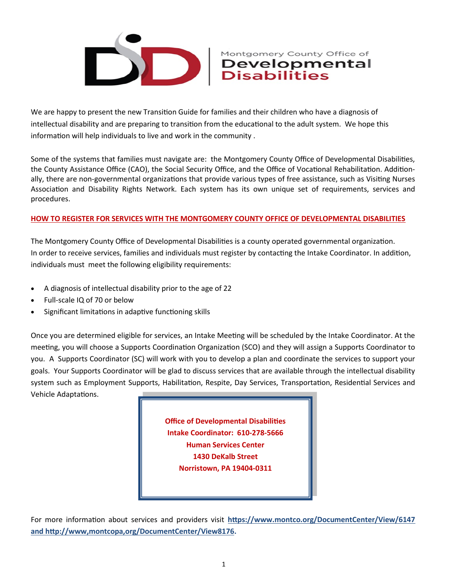

We are happy to present the new Transition Guide for families and their children who have a diagnosis of intellectual disability and are preparing to transition from the educational to the adult system. We hope this information will help individuals to live and work in the community .

Some of the systems that families must navigate are: the Montgomery County Office of Developmental Disabilities, the County Assistance Office (CAO), the Social Security Office, and the Office of Vocational Rehabilitation. Additionally, there are non-governmental organizations that provide various types of free assistance, such as Visiting Nurses Association and Disability Rights Network. Each system has its own unique set of requirements, services and procedures.

### **HOW TO REGISTER FOR SERVICES WITH THE MONTGOMERY COUNTY OFFICE OF DEVELOPMENTAL DISABILITIES**

The Montgomery County Office of Developmental Disabilities is a county operated governmental organization. In order to receive services, families and individuals must register by contacting the Intake Coordinator. In addition, individuals must meet the following eligibility requirements:

- A diagnosis of intellectual disability prior to the age of 22
- Full-scale IQ of 70 or below
- Significant limitations in adaptive functioning skills

Once you are determined eligible for services, an Intake Meeting will be scheduled by the Intake Coordinator. At the meeting, you will choose a Supports Coordination Organization (SCO) and they will assign a Supports Coordinator to you. A Supports Coordinator (SC) will work with you to develop a plan and coordinate the services to support your goals. Your Supports Coordinator will be glad to discuss services that are available through the intellectual disability system such as Employment Supports, Habilitation, Respite, Day Services, Transportation, Residential Services and Vehicle Adaptations.

> **Office of Developmental Disabilities Intake Coordinator: 610-278-5666 Human Services Center 1430 DeKalb Street Norristown, PA 19404-0311**

For more information about services and providers visit **[https://www.montco.org/DocumentCenter/View/6147](https://www.hcsis.state.pa.us/hcsis-ssd/pgm/asp/prhom.asp)  [and http://www,montcopa,org/DocumentCenter/View8176.](https://www.hcsis.state.pa.us/hcsis-ssd/pgm/asp/prhom.asp)**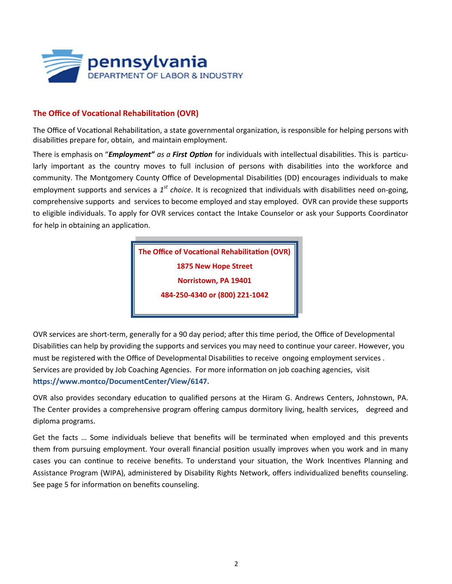

### **The Office of Vocational Rehabilitation (OVR)**

The Office of Vocational Rehabilitation, a state governmental organization, is responsible for helping persons with disabilities prepare for, obtain, and maintain employment.

There is emphasis on "*Employment" as a First Option* for individuals with intellectual disabilities. This is particularly important as the country moves to full inclusion of persons with disabilities into the workforce and community. The Montgomery County Office of Developmental Disabilities (DD) encourages individuals to make employment supports and services a 1<sup>st</sup> choice. It is recognized that individuals with disabilities need on-going, comprehensive supports and services to become employed and stay employed. OVR can provide these supports to eligible individuals. To apply for OVR services contact the Intake Counselor or ask your Supports Coordinator for help in obtaining an application.

> **The Office of Vocational Rehabilitation (OVR) 1875 New Hope Street Norristown, PA 19401 484-250-4340 or (800) 221-1042**

OVR services are short-term, generally for a 90 day period; after this time period, the Office of Developmental Disabilities can help by providing the supports and services you may need to continue your career. However, you must be registered with the Office of Developmental Disabilities to receive ongoing employment services . Services are provided by Job Coaching Agencies. For more information on job coaching agencies, visit **https://www.montco/DocumentCenter/View/6147.** 

OVR also provides secondary education to qualified persons at the Hiram G. Andrews Centers, Johnstown, PA. The Center provides a comprehensive program offering campus dormitory living, health services, degreed and diploma programs.

Get the facts … Some individuals believe that benefits will be terminated when employed and this prevents them from pursuing employment. Your overall financial position usually improves when you work and in many cases you can continue to receive benefits. To understand your situation, the Work Incentives Planning and Assistance Program (WIPA), administered by Disability Rights Network, offers individualized benefits counseling. See page 5 for information on benefits counseling.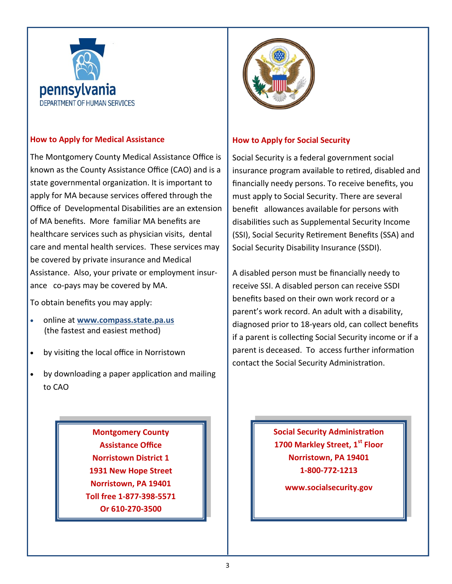

### **How to Apply for Medical Assistance**

The Montgomery County Medical Assistance Office is known as the County Assistance Office (CAO) and is a state governmental organization. It is important to apply for MA because services offered through the Office of Developmental Disabilities are an extension of MA benefits. More familiar MA benefits are healthcare services such as physician visits, dental care and mental health services. These services may be covered by private insurance and Medical Assistance. Also, your private or employment insurance co-pays may be covered by MA.

To obtain benefits you may apply:

- online at **[www.compass.state.pa.us](http://www.compass.state.pa.us)**  (the fastest and easiest method)
- by visiting the local office in Norristown
- by downloading a paper application and mailing to CAO

**Montgomery County Assistance Office Norristown District 1 1931 New Hope Street Norristown, PA 19401 Toll free 1-877-398-5571 Or 610-270-3500**



### **How to Apply for Social Security**

Social Security is a federal government social insurance program available to retired, disabled and financially needy persons. To receive benefits, you must apply to Social Security. There are several benefit allowances available for persons with disabilities such as Supplemental Security Income (SSI), Social Security Retirement Benefits (SSA) and Social Security Disability Insurance (SSDI).

A disabled person must be financially needy to receive SSI. A disabled person can receive SSDI benefits based on their own work record or a parent's work record. An adult with a disability, diagnosed prior to 18-years old, can collect benefits if a parent is collecting Social Security income or if a parent is deceased. To access further information contact the Social Security Administration.

> **Social Security Administration 1700 Markley Street, 1st Floor Norristown, PA 19401 1-800-772-1213**

> > **www.socialsecurity.gov**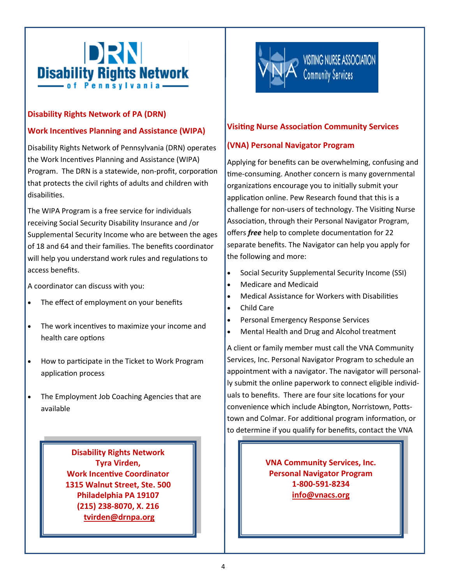

### **Disability Rights Network of PA (DRN)**

### **Work Incentives Planning and Assistance (WIPA)**

Disability Rights Network of Pennsylvania (DRN) operates the Work Incentives Planning and Assistance (WIPA) Program. The DRN is a statewide, non-profit, corporation that protects the civil rights of adults and children with disabilities.

The WIPA Program is a free service for individuals receiving Social Security Disability Insurance and /or Supplemental Security Income who are between the ages of 18 and 64 and their families. The benefits coordinator will help you understand work rules and regulations to access benefits.

A coordinator can discuss with you:

- The effect of employment on your benefits
- The work incentives to maximize your income and health care options
- How to participate in the Ticket to Work Program application process
- The Employment Job Coaching Agencies that are available

**Disability Rights Network Tyra Virden, Work Incentive Coordinator 1315 Walnut Street, Ste. 500 Philadelphia PA 19107 (215) 238-8070, X. 216 [tvirden@drnpa.org](mailto:tvirden@drnpa.org)**



### **Visiting Nurse Association Community Services**

### **(VNA) Personal Navigator Program**

Applying for benefits can be overwhelming, confusing and time-consuming. Another concern is many governmental organizations encourage you to initially submit your application online. Pew Research found that this is a challenge for non-users of technology. The Visiting Nurse Association, through their Personal Navigator Program, offers *free* help to complete documentation for 22 separate benefits. The Navigator can help you apply for the following and more:

- Social Security Supplemental Security Income (SSI)
- Medicare and Medicaid
- Medical Assistance for Workers with Disabilities
- Child Care
- Personal Emergency Response Services
- Mental Health and Drug and Alcohol treatment

A client or family member must call the VNA Community Services, Inc. Personal Navigator Program to schedule an appointment with a navigator. The navigator will personally submit the online paperwork to connect eligible individuals to benefits. There are four site locations for your convenience which include Abington, Norristown, Pottstown and Colmar. For additional program information, or to determine if you qualify for benefits, contact the VNA

> **VNA Community Services, Inc. Personal Navigator Program 1-800-591-8234 info@vnacs.org**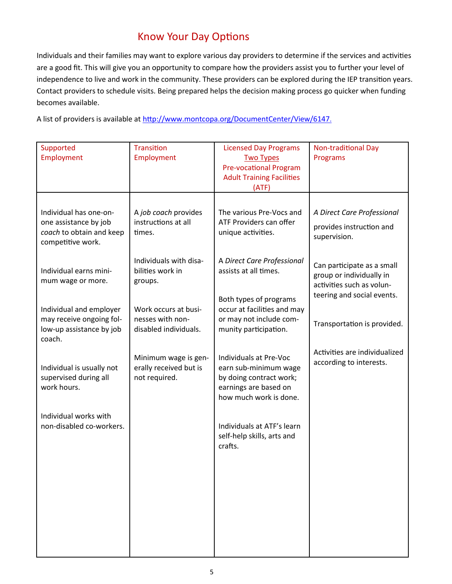## Know Your Day Options

Individuals and their families may want to explore various day providers to determine if the services and activities are a good fit. This will give you an opportunity to compare how the providers assist you to further your level of independence to live and work in the community. These providers can be explored during the IEP transition years. Contact providers to schedule visits. Being prepared helps the decision making process go quicker when funding becomes available.

A list of providers is available at<http://www.montcopa.org/DocumentCenter/View/6147>.

| Supported<br>Employment                                                                          | <b>Transition</b><br>Employment                                   | <b>Licensed Day Programs</b><br><b>Two Types</b><br><b>Pre-vocational Program</b><br><b>Adult Training Facilities</b><br>(ATF) | <b>Non-traditional Day</b><br>Programs                                                                                                           |
|--------------------------------------------------------------------------------------------------|-------------------------------------------------------------------|--------------------------------------------------------------------------------------------------------------------------------|--------------------------------------------------------------------------------------------------------------------------------------------------|
| Individual has one-on-<br>one assistance by job<br>coach to obtain and keep<br>competitive work. | A job coach provides<br>instructions at all<br>times.             | The various Pre-Vocs and<br>ATF Providers can offer<br>unique activities.                                                      | A Direct Care Professional<br>provides instruction and<br>supervision.                                                                           |
| Individual earns mini-<br>mum wage or more.                                                      | Individuals with disa-<br>bilities work in<br>groups.             | A Direct Care Professional<br>assists at all times.                                                                            | Can participate as a small<br>group or individually in<br>activities such as volun-<br>teering and social events.<br>Transportation is provided. |
| Individual and employer<br>may receive ongoing fol-<br>low-up assistance by job<br>coach.        | Work occurs at busi-<br>nesses with non-<br>disabled individuals. | Both types of programs<br>occur at facilities and may<br>or may not include com-<br>munity participation.                      |                                                                                                                                                  |
| Individual is usually not<br>supervised during all<br>work hours.                                | Minimum wage is gen-<br>erally received but is<br>not required.   | Individuals at Pre-Voc<br>earn sub-minimum wage<br>by doing contract work;<br>earnings are based on<br>how much work is done.  | Activities are individualized<br>according to interests.                                                                                         |
| Individual works with<br>non-disabled co-workers.                                                |                                                                   | Individuals at ATF's learn<br>self-help skills, arts and<br>crafts.                                                            |                                                                                                                                                  |
|                                                                                                  |                                                                   |                                                                                                                                |                                                                                                                                                  |
|                                                                                                  |                                                                   |                                                                                                                                |                                                                                                                                                  |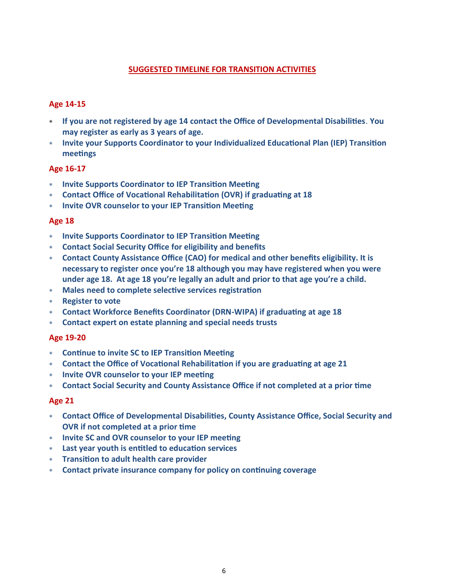### **SUGGESTED TIMELINE FOR TRANSITION ACTIVITIES**

### **Age 14-15**

- **If you are not registered by age 14 contact the Office of Developmental Disabilities**. **You may register as early as 3 years of age.**
- **Invite your Supports Coordinator to your Individualized Educational Plan (IEP) Transition meetings**

### **Age 16-17**

- **Invite Supports Coordinator to IEP Transition Meeting**
- **Contact Office of Vocational Rehabilitation (OVR) if graduating at 18**
- **Invite OVR counselor to your IEP Transition Meeting**

### **Age 18**

- **Invite Supports Coordinator to IEP Transition Meeting**
- **Contact Social Security Office for eligibility and benefits**
- **Contact County Assistance Office (CAO) for medical and other benefits eligibility. It is necessary to register once you're 18 although you may have registered when you were under age 18. At age 18 you're legally an adult and prior to that age you're a child.**
- **Males need to complete selective services registration**
- **Register to vote**
- **Contact Workforce Benefits Coordinator (DRN-WIPA) if graduating at age 18**
- **Contact expert on estate planning and special needs trusts**

### **Age 19-20**

- **Continue to invite SC to IEP Transition Meeting**
- **Contact the Office of Vocational Rehabilitation if you are graduating at age 21**
- **Invite OVR counselor to your IEP meeting**
- **Contact Social Security and County Assistance Office if not completed at a prior time**

### **Age 21**

- **Contact Office of Developmental Disabilities, County Assistance Office, Social Security and OVR if not completed at a prior time**
- **Invite SC and OVR counselor to your IEP meeting**
- **Last year youth is entitled to education services**
- **Transition to adult health care provider**
- **Contact private insurance company for policy on continuing coverage**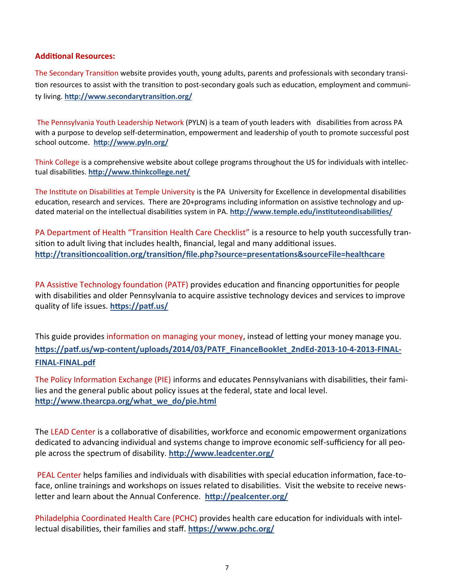### **Additional Resources:**

The Secondary Transition website provides youth, young adults, parents and professionals with secondary transition resources to assist with the transition to post-secondary goals such as education, employment and community living. **<http://www.secondarytransition.org/>**

The Pennsylvania Youth Leadership Network (PYLN) is a team of youth leaders with disabilities from across PA with a purpose to develop self-determination, empowerment and leadership of youth to promote successful post school outcome. **<http://www.pyln.org/>**

Think College is a comprehensive website about college programs throughout the US for individuals with intellectual disabilities. **<http://www.thinkcollege.net/>**

The Institute on Disabilities at Temple University is the PA University for Excellence in developmental disabilities education, research and services. There are 20+programs including information on assistive technology and updated material on the intellectual disabilities system in PA. **<http://www.temple.edu/instituteondisabilities/>**

PA Department of Health "Transition Health Care Checklist" is a resource to help youth successfully transition to adult living that includes health, financial, legal and many additional issues. **<http://transitioncoalition.org/transition/file.php?source=presentations&sourceFile=healthcare>**

PA Assistive Technology foundation (PATF) provides education and financing opportunities for people with disabilities and older Pennsylvania to acquire assistive technology devices and services to improve quality of life issues. **<https://patf.us/>**

This guide provides information on managing your money, instead of letting your money manage you. **https://patf.us/wp-[content/uploads/2014/03/PATF\\_FinanceBooklet\\_2ndEd](https://patf.us/wp-content/uploads/2014/03/PATF_FinanceBooklet_2ndEd-2013-10-4-2013-FINAL-FINAL-FINAL.pdf)-2013-10-4-2013-FINAL-FINAL-[FINAL.pdf](https://patf.us/wp-content/uploads/2014/03/PATF_FinanceBooklet_2ndEd-2013-10-4-2013-FINAL-FINAL-FINAL.pdf)**

The Policy Information Exchange (PIE) informs and educates Pennsylvanians with disabilities, their families and the general public about policy issues at the federal, state and local level. **[http://www.thearcpa.org/what\\_we\\_do/pie.html](http://www.thearcpa.org/what_we_do/pie.html)**

The LEAD Center is a collaborative of disabilities, workforce and economic empowerment organizations dedicated to advancing individual and systems change to improve economic self-sufficiency for all people across the spectrum of disability. **<http://www.leadcenter.org/>**

PEAL Center helps families and individuals with disabilities with special education information, face-toface, online trainings and workshops on issues related to disabilities. Visit the website to receive newsletter and learn about the Annual Conference. **<http://pealcenter.org/>**

Philadelphia Coordinated Health Care (PCHC) provides health care education for individuals with intellectual disabilities, their families and staff. **<https://www.pchc.org/>**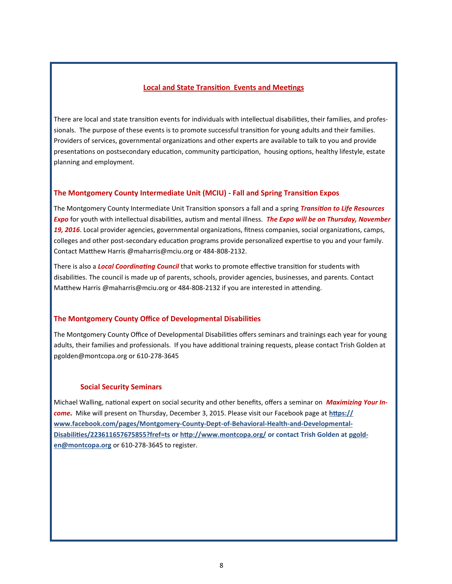### **Local and State Transition Events and Meetings**

There are local and state transition events for individuals with intellectual disabilities, their families, and professionals. The purpose of these events is to promote successful transition for young adults and their families. Providers of services, governmental organizations and other experts are available to talk to you and provide presentations on postsecondary education, community participation, housing options, healthy lifestyle, estate planning and employment.

### **The Montgomery County Intermediate Unit (MCIU) - Fall and Spring Transition Expos**

The Montgomery County Intermediate Unit Transition sponsors a fall and a spring *Transition to Life Resources Expo* for youth with intellectual disabilities, autism and mental illness. *The Expo will be on Thursday, November 19, 2016*. Local provider agencies, governmental organizations, fitness companies, social organizations, camps, colleges and other post-secondary education programs provide personalized expertise to you and your family. Contact Matthew Harris @maharris@mciu.org or 484-808-2132.

There is also a *Local Coordinating Council* that works to promote effective transition for students with disabilities. The council is made up of parents, schools, provider agencies, businesses, and parents. Contact Matthew Harris @maharris@mciu.org or 484-808-2132 if you are interested in attending.

### **The Montgomery County Office of Developmental Disabilities**

The Montgomery County Office of Developmental Disabilities offers seminars and trainings each year for young adults, their families and professionals. If you have additional training requests, please contact Trish Golden at pgolden@montcopa.org or 610-278-3645

### **Social Security Seminars**

Michael Walling, national expert on social security and other benefits, offers a seminar on *Maximizing Your Income.* Mike will present on Thursday, December 3, 2015. Please visit our Facebook page at **[https://](https://www.facebook.com/pages/Montgomery-County-Dept-of-Behavioral-Health-and-Developmental-Disabilities/223611657675855?fref=ts) [www.facebook.com/pages/Montgomery](https://www.facebook.com/pages/Montgomery-County-Dept-of-Behavioral-Health-and-Developmental-Disabilities/223611657675855?fref=ts)-County-Dept-of-Behavioral-Health-and-Developmental-[Disabilities/223611657675855?fref=ts](https://www.facebook.com/pages/Montgomery-County-Dept-of-Behavioral-Health-and-Developmental-Disabilities/223611657675855?fref=ts) or<http://www.montcopa.org/> or contact Trish Golden at [pgold](mailto:pgolden@montcopa.org)[en@montcopa.org](mailto:pgolden@montcopa.org)** or 610-278-3645 to register.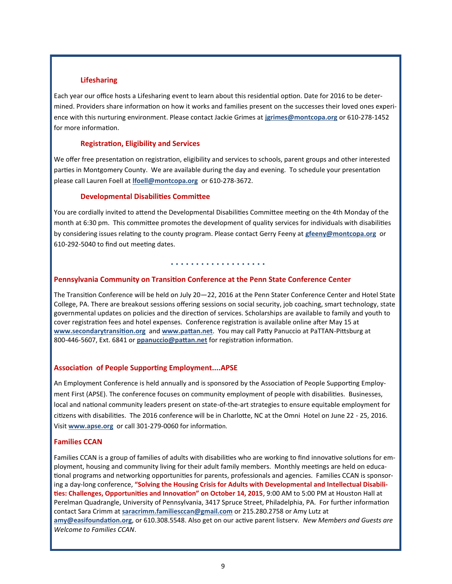### **Lifesharing**

Each year our office hosts a Lifesharing event to learn about this residential option. Date for 2016 to be determined. Providers share information on how it works and families present on the successes their loved ones experience with this nurturing environment. Please contact Jackie Grimes at **[jgrimes@montcopa.org](mailto:jgrimes@montcopa.org)** or 610-278-1452 for more information.

### **Registration, Eligibility and Services**

We offer free presentation on registration, eligibility and services to schools, parent groups and other interested parties in Montgomery County. We are available during the day and evening. To schedule your presentation please call Lauren Foell at **[lfoell@montcopa.org](mailto:lfoell@montcopa.org)** or 610-278-3672.

### **Developmental Disabilities Committee**

You are cordially invited to attend the Developmental Disabilities Committee meeting on the 4th Monday of the month at 6:30 pm. This committee promotes the development of quality services for individuals with disabilities by considering issues relating to the county program. Please contact Gerry Feeny at **[gfeeny@montcopa.org](mailto:gfeeny@montcopa.org)** or 610-292-5040 to find out meeting dates.

### **. . . . . . . . . . . . . . . . . . .**

### **Pennsylvania Community on Transition Conference at the Penn State Conference Center**

The Transition Conference will be held on July 20—22, 2016 at the Penn Stater Conference Center and Hotel State College, PA. There are breakout sessions offering sessions on social security, job coaching, smart technology, state governmental updates on policies and the direction of services. Scholarships are available to family and youth to cover registration fees and hotel expenses. Conference registration is available online after May 15 at **[www.secondarytransition.org](http://www.secondarytransition.org)** and **[www.pattan.net](http://www.pattan.net)**. You may call Patty Panuccio at PaTTAN-Pittsburg at 800-446-5607, Ext. 6841 or **[ppanuccio@pattan.net](mailto:ppanuccio@pattan.net)** for registration information.

### **Association of People Supporting Employment....APSE**

An Employment Conference is held annually and is sponsored by the Association of People Supporting Employment First (APSE). The conference focuses on community employment of people with disabilities. Businesses, local and national community leaders present on state-of-the-art strategies to ensure equitable employment for citizens with disabilities. The 2016 conference will be in Charlotte, NC at the Omni Hotel on June 22 - 25, 2016. Visit **[www.apse.org](http://www.apse.org)** or call 301-279-0060 for information.

### **Families CCAN**

Families CCAN is a group of families of adults with disabilities who are working to find innovative solutions for employment, housing and community living for their adult family members. Monthly meetings are held on educational programs and networking opportunities for parents, professionals and agencies. Families CCAN is sponsoring a day-long conference, **"Solving the Housing Crisis for Adults with Developmental and Intellectual Disabilities: Challenges, Opportunities and Innovation" on October 14, 2015**, 9:00 AM to 5:00 PM at Houston Hall at Perelman Quadrangle, University of Pennsylvania, 3417 Spruce Street, Philadelphia, PA. For further information contact Sara Crimm at **[saracrimm.familiesccan@gmail.com](mailto:saracrimm.FamiliesCCAN@gmail.com)** or 215.280.2758 or Amy Lutz at **amy@easifoundation.org**, or 610.308.5548. Also get on our active parent listserv. *New Members and Guests are Welcome to Families CCAN*.